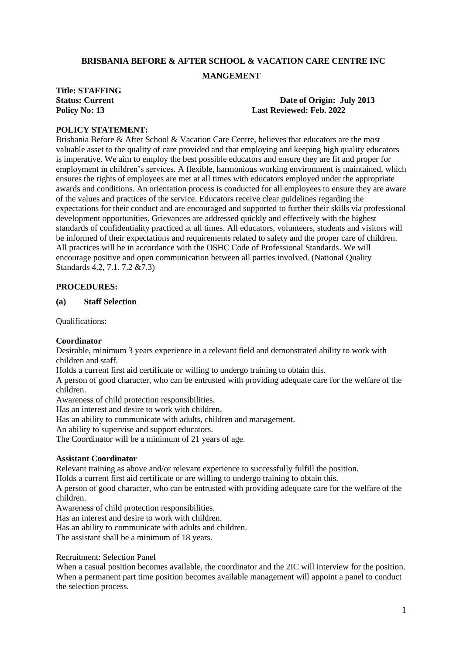# **BRISBANIA BEFORE & AFTER SCHOOL & VACATION CARE CENTRE INC**

#### **MANGEMENT**

# **Title: STAFFING**

#### **Status:** Current **Date of Origin:** July 2013 **Policy No: 13 Last Reviewed: Feb. 2022**

# **POLICY STATEMENT:**

Brisbania Before & After School & Vacation Care Centre, believes that educators are the most valuable asset to the quality of care provided and that employing and keeping high quality educators is imperative. We aim to employ the best possible educators and ensure they are fit and proper for employment in children's services. A flexible, harmonious working environment is maintained, which ensures the rights of employees are met at all times with educators employed under the appropriate awards and conditions. An orientation process is conducted for all employees to ensure they are aware of the values and practices of the service. Educators receive clear guidelines regarding the expectations for their conduct and are encouraged and supported to further their skills via professional development opportunities. Grievances are addressed quickly and effectively with the highest standards of confidentiality practiced at all times. All educators, volunteers, students and visitors will be informed of their expectations and requirements related to safety and the proper care of children. All practices will be in accordance with the OSHC Code of Professional Standards. We will encourage positive and open communication between all parties involved. (National Quality Standards 4.2, 7.1. 7.2 &7.3)

# **PROCEDURES:**

#### **(a) Staff Selection**

Qualifications:

#### **Coordinator**

Desirable, minimum 3 years experience in a relevant field and demonstrated ability to work with children and staff.

Holds a current first aid certificate or willing to undergo training to obtain this.

A person of good character, who can be entrusted with providing adequate care for the welfare of the children.

Awareness of child protection responsibilities.

Has an interest and desire to work with children.

Has an ability to communicate with adults, children and management.

An ability to supervise and support educators.

The Coordinator will be a minimum of 21 years of age.

#### **Assistant Coordinator**

Relevant training as above and/or relevant experience to successfully fulfill the position.

Holds a current first aid certificate or are willing to undergo training to obtain this.

A person of good character, who can be entrusted with providing adequate care for the welfare of the children.

Awareness of child protection responsibilities.

Has an interest and desire to work with children.

Has an ability to communicate with adults and children.

The assistant shall be a minimum of 18 years.

#### Recruitment: Selection Panel

When a casual position becomes available, the coordinator and the 2IC will interview for the position. When a permanent part time position becomes available management will appoint a panel to conduct the selection process.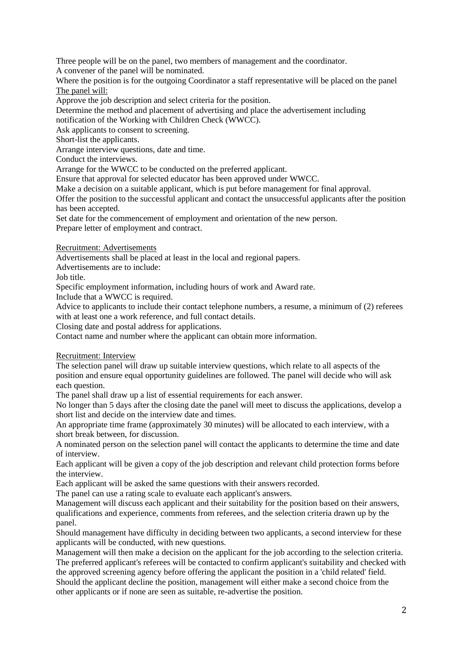Three people will be on the panel, two members of management and the coordinator.

A convener of the panel will be nominated.

Where the position is for the outgoing Coordinator a staff representative will be placed on the panel The panel will:

Approve the job description and select criteria for the position.

Determine the method and placement of advertising and place the advertisement including

notification of the Working with Children Check (WWCC).

Ask applicants to consent to screening.

Short-list the applicants.

Arrange interview questions, date and time.

Conduct the interviews.

Arrange for the WWCC to be conducted on the preferred applicant.

Ensure that approval for selected educator has been approved under WWCC.

Make a decision on a suitable applicant, which is put before management for final approval.

Offer the position to the successful applicant and contact the unsuccessful applicants after the position has been accepted.

Set date for the commencement of employment and orientation of the new person. Prepare letter of employment and contract.

Recruitment: Advertisements

Advertisements shall be placed at least in the local and regional papers.

Advertisements are to include:

Job title.

Specific employment information, including hours of work and Award rate.

Include that a WWCC is required.

Advice to applicants to include their contact telephone numbers, a resume, a minimum of (2) referees with at least one a work reference, and full contact details.

Closing date and postal address for applications.

Contact name and number where the applicant can obtain more information.

Recruitment: Interview

The selection panel will draw up suitable interview questions, which relate to all aspects of the position and ensure equal opportunity guidelines are followed. The panel will decide who will ask each question.

The panel shall draw up a list of essential requirements for each answer.

No longer than 5 days after the closing date the panel will meet to discuss the applications, develop a short list and decide on the interview date and times.

An appropriate time frame (approximately 30 minutes) will be allocated to each interview, with a short break between, for discussion.

A nominated person on the selection panel will contact the applicants to determine the time and date of interview.

Each applicant will be given a copy of the job description and relevant child protection forms before the interview.

Each applicant will be asked the same questions with their answers recorded.

The panel can use a rating scale to evaluate each applicant's answers.

Management will discuss each applicant and their suitability for the position based on their answers, qualifications and experience, comments from referees, and the selection criteria drawn up by the panel.

Should management have difficulty in deciding between two applicants, a second interview for these applicants will be conducted, with new questions.

Management will then make a decision on the applicant for the job according to the selection criteria. The preferred applicant's referees will be contacted to confirm applicant's suitability and checked with the approved screening agency before offering the applicant the position in a 'child related' field. Should the applicant decline the position, management will either make a second choice from the other applicants or if none are seen as suitable, re-advertise the position.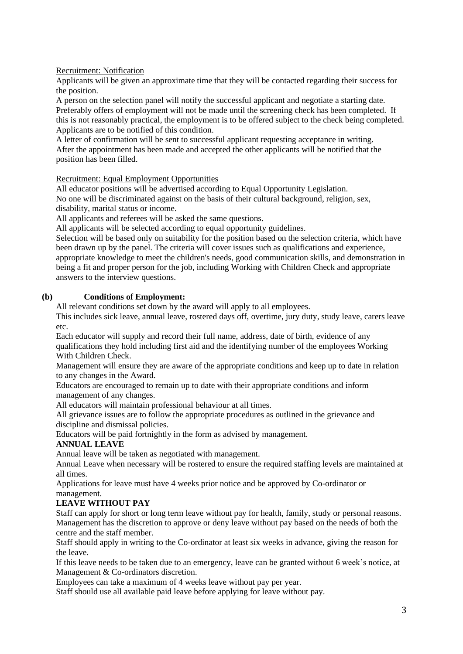Recruitment: Notification

Applicants will be given an approximate time that they will be contacted regarding their success for the position.

A person on the selection panel will notify the successful applicant and negotiate a starting date. Preferably offers of employment will not be made until the screening check has been completed. If this is not reasonably practical, the employment is to be offered subject to the check being completed. Applicants are to be notified of this condition.

A letter of confirmation will be sent to successful applicant requesting acceptance in writing. After the appointment has been made and accepted the other applicants will be notified that the position has been filled.

Recruitment: Equal Employment Opportunities

All educator positions will be advertised according to Equal Opportunity Legislation. No one will be discriminated against on the basis of their cultural background, religion, sex, disability, marital status or income.

All applicants and referees will be asked the same questions.

All applicants will be selected according to equal opportunity guidelines.

Selection will be based only on suitability for the position based on the selection criteria, which have been drawn up by the panel. The criteria will cover issues such as qualifications and experience, appropriate knowledge to meet the children's needs, good communication skills, and demonstration in being a fit and proper person for the job, including Working with Children Check and appropriate answers to the interview questions.

# **(b) Conditions of Employment:**

All relevant conditions set down by the award will apply to all employees.

This includes sick leave, annual leave, rostered days off, overtime, jury duty, study leave, carers leave etc.

Each educator will supply and record their full name, address, date of birth, evidence of any qualifications they hold including first aid and the identifying number of the employees Working With Children Check.

Management will ensure they are aware of the appropriate conditions and keep up to date in relation to any changes in the Award.

Educators are encouraged to remain up to date with their appropriate conditions and inform management of any changes.

All educators will maintain professional behaviour at all times.

All grievance issues are to follow the appropriate procedures as outlined in the grievance and discipline and dismissal policies.

Educators will be paid fortnightly in the form as advised by management.

# **ANNUAL LEAVE**

Annual leave will be taken as negotiated with management.

Annual Leave when necessary will be rostered to ensure the required staffing levels are maintained at all times.

Applications for leave must have 4 weeks prior notice and be approved by Co-ordinator or management.

# **LEAVE WITHOUT PAY**

Staff can apply for short or long term leave without pay for health, family, study or personal reasons. Management has the discretion to approve or deny leave without pay based on the needs of both the centre and the staff member.

Staff should apply in writing to the Co-ordinator at least six weeks in advance, giving the reason for the leave.

If this leave needs to be taken due to an emergency, leave can be granted without 6 week's notice, at Management & Co-ordinators discretion.

Employees can take a maximum of 4 weeks leave without pay per year.

Staff should use all available paid leave before applying for leave without pay.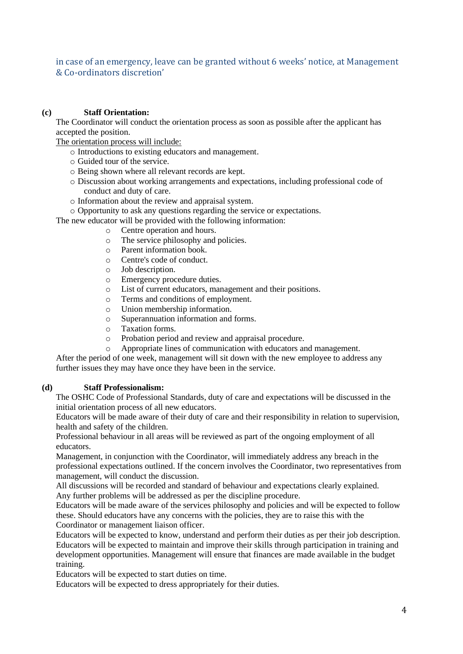in case of an emergency, leave can be granted without 6 weeks' notice, at Management & Co-ordinators discretion'

# **(c) Staff Orientation:**

The Coordinator will conduct the orientation process as soon as possible after the applicant has accepted the position.

The orientation process will include:

- o Introductions to existing educators and management.
- o Guided tour of the service.
- o Being shown where all relevant records are kept.
- o Discussion about working arrangements and expectations, including professional code of conduct and duty of care.
- o Information about the review and appraisal system.
- o Opportunity to ask any questions regarding the service or expectations.

The new educator will be provided with the following information:

- o Centre operation and hours.
- o The service philosophy and policies.
- o Parent information book.
- o Centre's code of conduct.
- o Job description.
- o Emergency procedure duties.
- o List of current educators, management and their positions.
- o Terms and conditions of employment.
- o Union membership information.
- o Superannuation information and forms.
- o Taxation forms.
- o Probation period and review and appraisal procedure.
- o Appropriate lines of communication with educators and management.

After the period of one week, management will sit down with the new employee to address any further issues they may have once they have been in the service.

#### **(d) Staff Professionalism:**

The OSHC Code of Professional Standards, duty of care and expectations will be discussed in the initial orientation process of all new educators.

Educators will be made aware of their duty of care and their responsibility in relation to supervision, health and safety of the children.

Professional behaviour in all areas will be reviewed as part of the ongoing employment of all educators.

Management, in conjunction with the Coordinator, will immediately address any breach in the professional expectations outlined. If the concern involves the Coordinator, two representatives from management, will conduct the discussion.

All discussions will be recorded and standard of behaviour and expectations clearly explained. Any further problems will be addressed as per the discipline procedure.

Educators will be made aware of the services philosophy and policies and will be expected to follow these. Should educators have any concerns with the policies, they are to raise this with the Coordinator or management liaison officer.

Educators will be expected to know, understand and perform their duties as per their job description. Educators will be expected to maintain and improve their skills through participation in training and development opportunities. Management will ensure that finances are made available in the budget training.

Educators will be expected to start duties on time.

Educators will be expected to dress appropriately for their duties.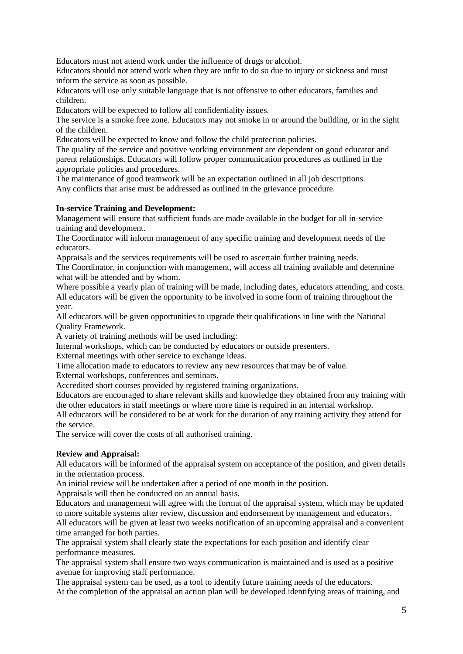Educators must not attend work under the influence of drugs or alcohol.

Educators should not attend work when they are unfit to do so due to injury or sickness and must inform the service as soon as possible.

Educators will use only suitable language that is not offensive to other educators, families and children.

Educators will be expected to follow all confidentiality issues.

The service is a smoke free zone. Educators may not smoke in or around the building, or in the sight of the children.

Educators will be expected to know and follow the child protection policies.

The quality of the service and positive working environment are dependent on good educator and parent relationships. Educators will follow proper communication procedures as outlined in the appropriate policies and procedures.

The maintenance of good teamwork will be an expectation outlined in all job descriptions. Any conflicts that arise must be addressed as outlined in the grievance procedure.

# **In-service Training and Development:**

Management will ensure that sufficient funds are made available in the budget for all in-service training and development.

The Coordinator will inform management of any specific training and development needs of the educators.

Appraisals and the services requirements will be used to ascertain further training needs.

The Coordinator, in conjunction with management, will access all training available and determine what will be attended and by whom.

Where possible a yearly plan of training will be made, including dates, educators attending, and costs. All educators will be given the opportunity to be involved in some form of training throughout the year.

All educators will be given opportunities to upgrade their qualifications in line with the National Quality Framework.

A variety of training methods will be used including:

Internal workshops, which can be conducted by educators or outside presenters.

External meetings with other service to exchange ideas.

Time allocation made to educators to review any new resources that may be of value.

External workshops, conferences and seminars.

Accredited short courses provided by registered training organizations.

Educators are encouraged to share relevant skills and knowledge they obtained from any training with the other educators in staff meetings or where more time is required in an internal workshop.

All educators will be considered to be at work for the duration of any training activity they attend for the service.

The service will cover the costs of all authorised training.

# **Review and Appraisal:**

All educators will be informed of the appraisal system on acceptance of the position, and given details in the orientation process.

An initial review will be undertaken after a period of one month in the position.

Appraisals will then be conducted on an annual basis.

Educators and management will agree with the format of the appraisal system, which may be updated to more suitable systems after review, discussion and endorsement by management and educators.

All educators will be given at least two weeks notification of an upcoming appraisal and a convenient time arranged for both parties.

The appraisal system shall clearly state the expectations for each position and identify clear performance measures.

The appraisal system shall ensure two ways communication is maintained and is used as a positive avenue for improving staff performance.

The appraisal system can be used, as a tool to identify future training needs of the educators. At the completion of the appraisal an action plan will be developed identifying areas of training, and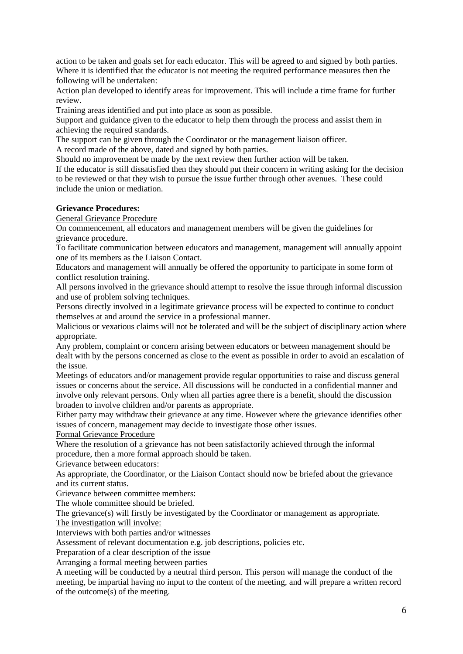action to be taken and goals set for each educator. This will be agreed to and signed by both parties. Where it is identified that the educator is not meeting the required performance measures then the following will be undertaken:

Action plan developed to identify areas for improvement. This will include a time frame for further review.

Training areas identified and put into place as soon as possible.

Support and guidance given to the educator to help them through the process and assist them in achieving the required standards.

The support can be given through the Coordinator or the management liaison officer.

A record made of the above, dated and signed by both parties.

Should no improvement be made by the next review then further action will be taken.

If the educator is still dissatisfied then they should put their concern in writing asking for the decision to be reviewed or that they wish to pursue the issue further through other avenues. These could include the union or mediation.

# **Grievance Procedures:**

General Grievance Procedure

On commencement, all educators and management members will be given the guidelines for grievance procedure.

To facilitate communication between educators and management, management will annually appoint one of its members as the Liaison Contact.

Educators and management will annually be offered the opportunity to participate in some form of conflict resolution training.

All persons involved in the grievance should attempt to resolve the issue through informal discussion and use of problem solving techniques.

Persons directly involved in a legitimate grievance process will be expected to continue to conduct themselves at and around the service in a professional manner.

Malicious or vexatious claims will not be tolerated and will be the subject of disciplinary action where appropriate.

Any problem, complaint or concern arising between educators or between management should be dealt with by the persons concerned as close to the event as possible in order to avoid an escalation of the issue.

Meetings of educators and/or management provide regular opportunities to raise and discuss general issues or concerns about the service. All discussions will be conducted in a confidential manner and involve only relevant persons. Only when all parties agree there is a benefit, should the discussion broaden to involve children and/or parents as appropriate.

Either party may withdraw their grievance at any time. However where the grievance identifies other issues of concern, management may decide to investigate those other issues.

#### Formal Grievance Procedure

Where the resolution of a grievance has not been satisfactorily achieved through the informal procedure, then a more formal approach should be taken.

Grievance between educators:

As appropriate, the Coordinator, or the Liaison Contact should now be briefed about the grievance and its current status.

Grievance between committee members:

The whole committee should be briefed.

The grievance(s) will firstly be investigated by the Coordinator or management as appropriate.

The investigation will involve:

Interviews with both parties and/or witnesses

Assessment of relevant documentation e.g. job descriptions, policies etc.

Preparation of a clear description of the issue

Arranging a formal meeting between parties

A meeting will be conducted by a neutral third person. This person will manage the conduct of the meeting, be impartial having no input to the content of the meeting, and will prepare a written record of the outcome(s) of the meeting.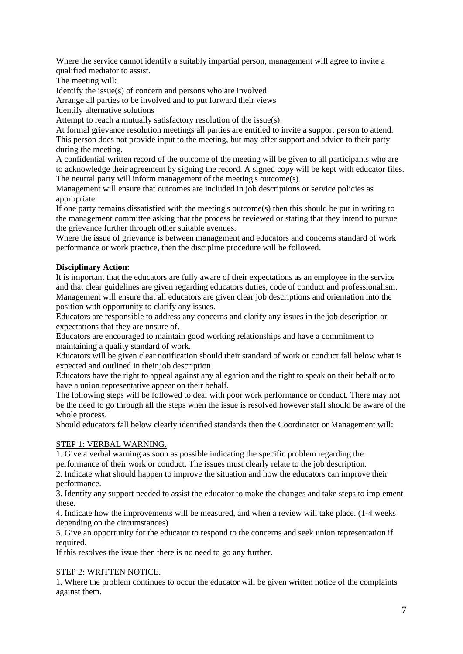Where the service cannot identify a suitably impartial person, management will agree to invite a qualified mediator to assist.

The meeting will:

Identify the issue(s) of concern and persons who are involved

Arrange all parties to be involved and to put forward their views

Identify alternative solutions

Attempt to reach a mutually satisfactory resolution of the issue(s).

At formal grievance resolution meetings all parties are entitled to invite a support person to attend. This person does not provide input to the meeting, but may offer support and advice to their party during the meeting.

A confidential written record of the outcome of the meeting will be given to all participants who are to acknowledge their agreement by signing the record. A signed copy will be kept with educator files. The neutral party will inform management of the meeting's outcome(s).

Management will ensure that outcomes are included in job descriptions or service policies as appropriate.

If one party remains dissatisfied with the meeting's outcome(s) then this should be put in writing to the management committee asking that the process be reviewed or stating that they intend to pursue the grievance further through other suitable avenues.

Where the issue of grievance is between management and educators and concerns standard of work performance or work practice, then the discipline procedure will be followed.

# **Disciplinary Action:**

It is important that the educators are fully aware of their expectations as an employee in the service and that clear guidelines are given regarding educators duties, code of conduct and professionalism. Management will ensure that all educators are given clear job descriptions and orientation into the position with opportunity to clarify any issues.

Educators are responsible to address any concerns and clarify any issues in the job description or expectations that they are unsure of.

Educators are encouraged to maintain good working relationships and have a commitment to maintaining a quality standard of work.

Educators will be given clear notification should their standard of work or conduct fall below what is expected and outlined in their job description.

Educators have the right to appeal against any allegation and the right to speak on their behalf or to have a union representative appear on their behalf.

The following steps will be followed to deal with poor work performance or conduct. There may not be the need to go through all the steps when the issue is resolved however staff should be aware of the whole process.

Should educators fall below clearly identified standards then the Coordinator or Management will:

# STEP 1: VERBAL WARNING.

1. Give a verbal warning as soon as possible indicating the specific problem regarding the performance of their work or conduct. The issues must clearly relate to the job description.

2. Indicate what should happen to improve the situation and how the educators can improve their performance.

3. Identify any support needed to assist the educator to make the changes and take steps to implement these.

4. Indicate how the improvements will be measured, and when a review will take place. (1-4 weeks depending on the circumstances)

5. Give an opportunity for the educator to respond to the concerns and seek union representation if required.

If this resolves the issue then there is no need to go any further.

#### STEP 2: WRITTEN NOTICE.

1. Where the problem continues to occur the educator will be given written notice of the complaints against them.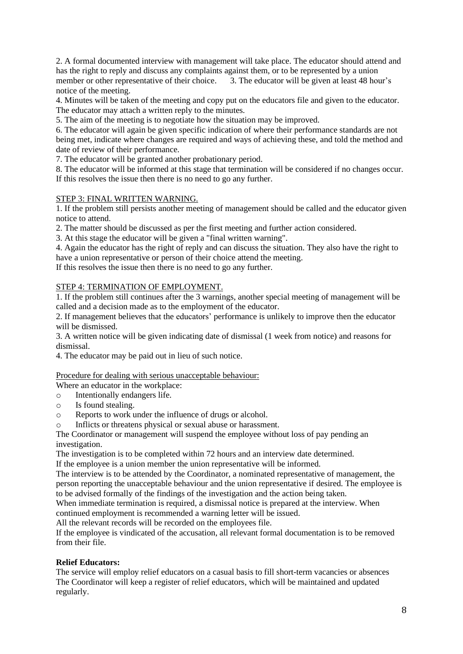2. A formal documented interview with management will take place. The educator should attend and has the right to reply and discuss any complaints against them, or to be represented by a union member or other representative of their choice. 3. The educator will be given at least 48 hour's notice of the meeting.

4. Minutes will be taken of the meeting and copy put on the educators file and given to the educator. The educator may attach a written reply to the minutes.

5. The aim of the meeting is to negotiate how the situation may be improved.

6. The educator will again be given specific indication of where their performance standards are not being met, indicate where changes are required and ways of achieving these, and told the method and date of review of their performance.

7. The educator will be granted another probationary period.

8. The educator will be informed at this stage that termination will be considered if no changes occur. If this resolves the issue then there is no need to go any further.

# STEP 3: FINAL WRITTEN WARNING.

1. If the problem still persists another meeting of management should be called and the educator given notice to attend.

2. The matter should be discussed as per the first meeting and further action considered.

3. At this stage the educator will be given a "final written warning".

4. Again the educator has the right of reply and can discuss the situation. They also have the right to have a union representative or person of their choice attend the meeting.

If this resolves the issue then there is no need to go any further.

# STEP 4: TERMINATION OF EMPLOYMENT.

1. If the problem still continues after the 3 warnings, another special meeting of management will be called and a decision made as to the employment of the educator.

2. If management believes that the educators' performance is unlikely to improve then the educator will be dismissed.

3. A written notice will be given indicating date of dismissal (1 week from notice) and reasons for dismissal.

4. The educator may be paid out in lieu of such notice.

#### Procedure for dealing with serious unacceptable behaviour:

Where an educator in the workplace:

- o Intentionally endangers life.
- o Is found stealing.
- o Reports to work under the influence of drugs or alcohol.

o Inflicts or threatens physical or sexual abuse or harassment.

The Coordinator or management will suspend the employee without loss of pay pending an investigation.

The investigation is to be completed within 72 hours and an interview date determined.

If the employee is a union member the union representative will be informed.

The interview is to be attended by the Coordinator, a nominated representative of management, the person reporting the unacceptable behaviour and the union representative if desired. The employee is to be advised formally of the findings of the investigation and the action being taken.

When immediate termination is required, a dismissal notice is prepared at the interview. When continued employment is recommended a warning letter will be issued.

All the relevant records will be recorded on the employees file.

If the employee is vindicated of the accusation, all relevant formal documentation is to be removed from their file.

#### **Relief Educators:**

The service will employ relief educators on a casual basis to fill short-term vacancies or absences The Coordinator will keep a register of relief educators, which will be maintained and updated regularly.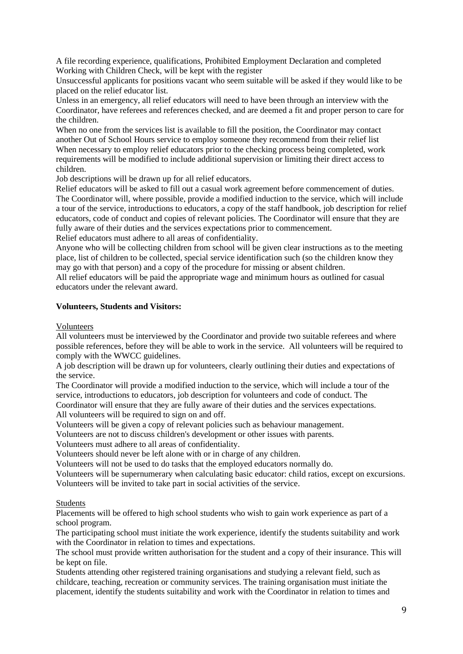A file recording experience, qualifications, Prohibited Employment Declaration and completed Working with Children Check, will be kept with the register

Unsuccessful applicants for positions vacant who seem suitable will be asked if they would like to be placed on the relief educator list.

Unless in an emergency, all relief educators will need to have been through an interview with the Coordinator, have referees and references checked, and are deemed a fit and proper person to care for the children.

When no one from the services list is available to fill the position, the Coordinator may contact another Out of School Hours service to employ someone they recommend from their relief list When necessary to employ relief educators prior to the checking process being completed, work requirements will be modified to include additional supervision or limiting their direct access to children.

Job descriptions will be drawn up for all relief educators.

Relief educators will be asked to fill out a casual work agreement before commencement of duties. The Coordinator will, where possible, provide a modified induction to the service, which will include a tour of the service, introductions to educators, a copy of the staff handbook, job description for relief educators, code of conduct and copies of relevant policies. The Coordinator will ensure that they are fully aware of their duties and the services expectations prior to commencement. Relief educators must adhere to all areas of confidentiality.

Anyone who will be collecting children from school will be given clear instructions as to the meeting place, list of children to be collected, special service identification such (so the children know they may go with that person) and a copy of the procedure for missing or absent children.

All relief educators will be paid the appropriate wage and minimum hours as outlined for casual educators under the relevant award.

#### **Volunteers, Students and Visitors:**

Volunteers

All volunteers must be interviewed by the Coordinator and provide two suitable referees and where possible references, before they will be able to work in the service. All volunteers will be required to comply with the WWCC guidelines.

A job description will be drawn up for volunteers, clearly outlining their duties and expectations of the service.

The Coordinator will provide a modified induction to the service, which will include a tour of the service, introductions to educators, job description for volunteers and code of conduct. The

Coordinator will ensure that they are fully aware of their duties and the services expectations. All volunteers will be required to sign on and off.

Volunteers will be given a copy of relevant policies such as behaviour management.

Volunteers are not to discuss children's development or other issues with parents.

Volunteers must adhere to all areas of confidentiality.

Volunteers should never be left alone with or in charge of any children.

Volunteers will not be used to do tasks that the employed educators normally do.

Volunteers will be supernumerary when calculating basic educator: child ratios, except on excursions. Volunteers will be invited to take part in social activities of the service.

#### Students

Placements will be offered to high school students who wish to gain work experience as part of a school program.

The participating school must initiate the work experience, identify the students suitability and work with the Coordinator in relation to times and expectations.

The school must provide written authorisation for the student and a copy of their insurance. This will be kept on file.

Students attending other registered training organisations and studying a relevant field, such as childcare, teaching, recreation or community services. The training organisation must initiate the placement, identify the students suitability and work with the Coordinator in relation to times and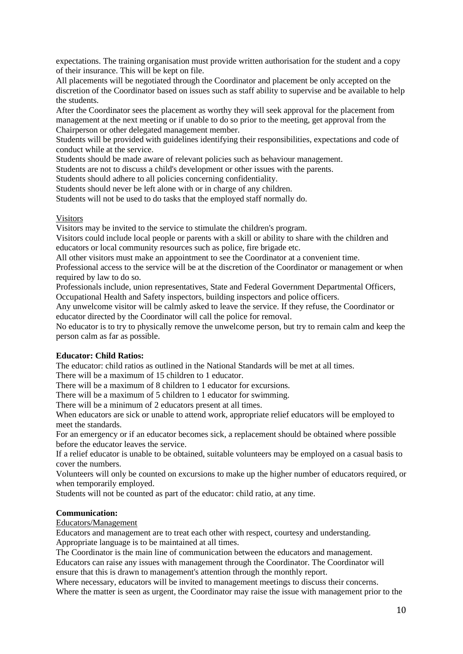expectations. The training organisation must provide written authorisation for the student and a copy of their insurance. This will be kept on file.

All placements will be negotiated through the Coordinator and placement be only accepted on the discretion of the Coordinator based on issues such as staff ability to supervise and be available to help the students.

After the Coordinator sees the placement as worthy they will seek approval for the placement from management at the next meeting or if unable to do so prior to the meeting, get approval from the Chairperson or other delegated management member.

Students will be provided with guidelines identifying their responsibilities, expectations and code of conduct while at the service.

Students should be made aware of relevant policies such as behaviour management.

Students are not to discuss a child's development or other issues with the parents.

Students should adhere to all policies concerning confidentiality.

Students should never be left alone with or in charge of any children.

Students will not be used to do tasks that the employed staff normally do.

# **Visitors**

Visitors may be invited to the service to stimulate the children's program.

Visitors could include local people or parents with a skill or ability to share with the children and educators or local community resources such as police, fire brigade etc.

All other visitors must make an appointment to see the Coordinator at a convenient time.

Professional access to the service will be at the discretion of the Coordinator or management or when required by law to do so.

Professionals include, union representatives, State and Federal Government Departmental Officers, Occupational Health and Safety inspectors, building inspectors and police officers.

Any unwelcome visitor will be calmly asked to leave the service. If they refuse, the Coordinator or educator directed by the Coordinator will call the police for removal.

No educator is to try to physically remove the unwelcome person, but try to remain calm and keep the person calm as far as possible.

# **Educator: Child Ratios:**

The educator: child ratios as outlined in the National Standards will be met at all times.

There will be a maximum of 15 children to 1 educator.

There will be a maximum of 8 children to 1 educator for excursions.

There will be a maximum of 5 children to 1 educator for swimming.

There will be a minimum of 2 educators present at all times.

When educators are sick or unable to attend work, appropriate relief educators will be employed to meet the standards.

For an emergency or if an educator becomes sick, a replacement should be obtained where possible before the educator leaves the service.

If a relief educator is unable to be obtained, suitable volunteers may be employed on a casual basis to cover the numbers.

Volunteers will only be counted on excursions to make up the higher number of educators required, or when temporarily employed.

Students will not be counted as part of the educator: child ratio, at any time.

#### **Communication:**

Educators/Management

Educators and management are to treat each other with respect, courtesy and understanding. Appropriate language is to be maintained at all times.

The Coordinator is the main line of communication between the educators and management.

Educators can raise any issues with management through the Coordinator. The Coordinator will ensure that this is drawn to management's attention through the monthly report.

Where necessary, educators will be invited to management meetings to discuss their concerns. Where the matter is seen as urgent, the Coordinator may raise the issue with management prior to the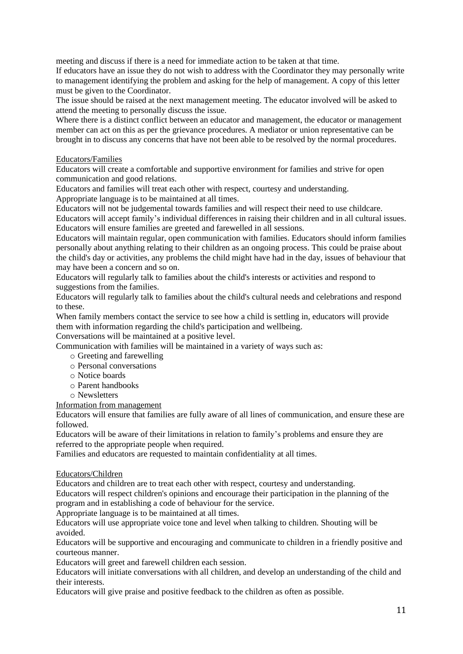meeting and discuss if there is a need for immediate action to be taken at that time.

If educators have an issue they do not wish to address with the Coordinator they may personally write to management identifying the problem and asking for the help of management. A copy of this letter must be given to the Coordinator.

The issue should be raised at the next management meeting. The educator involved will be asked to attend the meeting to personally discuss the issue.

Where there is a distinct conflict between an educator and management, the educator or management member can act on this as per the grievance procedures. A mediator or union representative can be brought in to discuss any concerns that have not been able to be resolved by the normal procedures.

#### Educators/Families

Educators will create a comfortable and supportive environment for families and strive for open communication and good relations.

Educators and families will treat each other with respect, courtesy and understanding.

Appropriate language is to be maintained at all times.

Educators will not be judgemental towards families and will respect their need to use childcare.

Educators will accept family's individual differences in raising their children and in all cultural issues. Educators will ensure families are greeted and farewelled in all sessions.

Educators will maintain regular, open communication with families. Educators should inform families personally about anything relating to their children as an ongoing process. This could be praise about the child's day or activities, any problems the child might have had in the day, issues of behaviour that may have been a concern and so on.

Educators will regularly talk to families about the child's interests or activities and respond to suggestions from the families.

Educators will regularly talk to families about the child's cultural needs and celebrations and respond to these.

When family members contact the service to see how a child is settling in, educators will provide them with information regarding the child's participation and wellbeing.

Conversations will be maintained at a positive level.

Communication with families will be maintained in a variety of ways such as:

- o Greeting and farewelling
- o Personal conversations
- o Notice boards
- o Parent handbooks
- o Newsletters

#### Information from management

Educators will ensure that families are fully aware of all lines of communication, and ensure these are followed.

Educators will be aware of their limitations in relation to family's problems and ensure they are referred to the appropriate people when required.

Families and educators are requested to maintain confidentiality at all times.

#### Educators/Children

Educators and children are to treat each other with respect, courtesy and understanding.

Educators will respect children's opinions and encourage their participation in the planning of the program and in establishing a code of behaviour for the service.

Appropriate language is to be maintained at all times.

Educators will use appropriate voice tone and level when talking to children. Shouting will be avoided.

Educators will be supportive and encouraging and communicate to children in a friendly positive and courteous manner.

Educators will greet and farewell children each session.

Educators will initiate conversations with all children, and develop an understanding of the child and their interests.

Educators will give praise and positive feedback to the children as often as possible.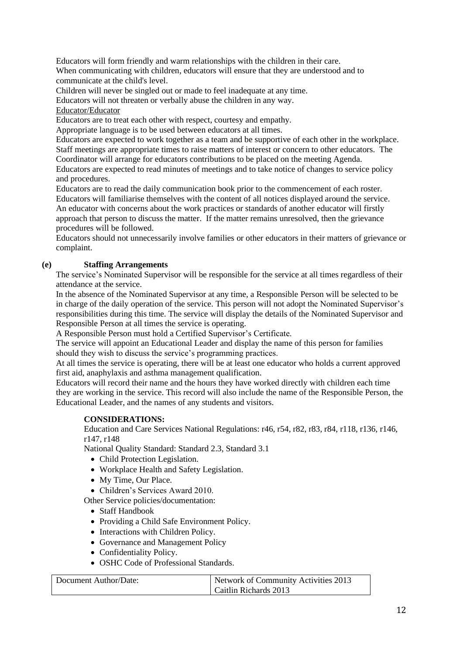Educators will form friendly and warm relationships with the children in their care. When communicating with children, educators will ensure that they are understood and to communicate at the child's level.

Children will never be singled out or made to feel inadequate at any time.

Educators will not threaten or verbally abuse the children in any way.

Educator/Educator

Educators are to treat each other with respect, courtesy and empathy.

Appropriate language is to be used between educators at all times.

Educators are expected to work together as a team and be supportive of each other in the workplace. Staff meetings are appropriate times to raise matters of interest or concern to other educators. The Coordinator will arrange for educators contributions to be placed on the meeting Agenda.

Educators are expected to read minutes of meetings and to take notice of changes to service policy and procedures.

Educators are to read the daily communication book prior to the commencement of each roster. Educators will familiarise themselves with the content of all notices displayed around the service. An educator with concerns about the work practices or standards of another educator will firstly approach that person to discuss the matter. If the matter remains unresolved, then the grievance procedures will be followed.

Educators should not unnecessarily involve families or other educators in their matters of grievance or complaint.

# **(e) Staffing Arrangements**

The service's Nominated Supervisor will be responsible for the service at all times regardless of their attendance at the service.

In the absence of the Nominated Supervisor at any time, a Responsible Person will be selected to be in charge of the daily operation of the service. This person will not adopt the Nominated Supervisor's responsibilities during this time. The service will display the details of the Nominated Supervisor and Responsible Person at all times the service is operating.

A Responsible Person must hold a Certified Supervisor's Certificate.

The service will appoint an Educational Leader and display the name of this person for families should they wish to discuss the service's programming practices.

At all times the service is operating, there will be at least one educator who holds a current approved first aid, anaphylaxis and asthma management qualification.

Educators will record their name and the hours they have worked directly with children each time they are working in the service. This record will also include the name of the Responsible Person, the Educational Leader, and the names of any students and visitors.

# **CONSIDERATIONS:**

Education and Care Services National Regulations: r46, r54, r82, r83, r84, r118, r136, r146, r147, r148

National Quality Standard: Standard 2.3, Standard 3.1

- Child Protection Legislation.
- Workplace Health and Safety Legislation.
- My Time, Our Place.

• Children's Services Award 2010.

Other Service policies/documentation:

- Staff Handbook
- Providing a Child Safe Environment Policy.
- Interactions with Children Policy.
- Governance and Management Policy
- Confidentiality Policy.
- OSHC Code of Professional Standards.

| Document Author/Date: | Network of Community Activities 2013 |
|-----------------------|--------------------------------------|
|                       | Caitlin Richards 2013                |